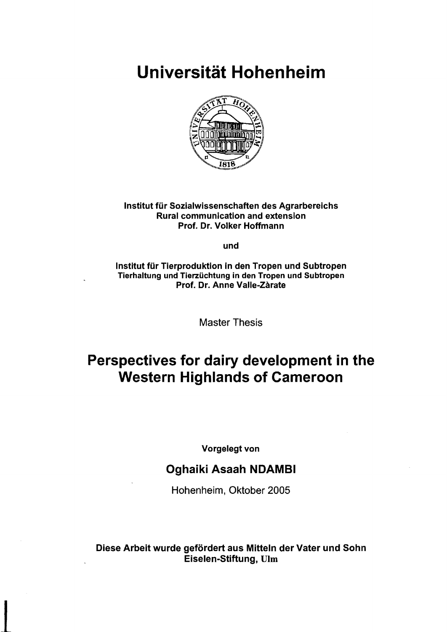Universität Hohenheim



#### Institut für Sozialwissenschaften des Agrarbereichs Rural communication and extension Prof. Dr. Volker Hoffmann

und

Institut für Tierproduktion in den Tropen und Subtropen Tierhaltung und Tierzüchtung in den Tropen und Subtropen Prof. Dr. Anne Valle-Zarate

Master Thesis

# Perspectives for dairy development in the Western Highlands of Cameroon

Vorgelegt von

#### Oghaiki Asaah NDAMBI

Hohenheim, Oktober 2005

Diese Arbeit wurde gefördert aus Mitteln der Vater und Sohn Eiselen-Stiftung, UIrn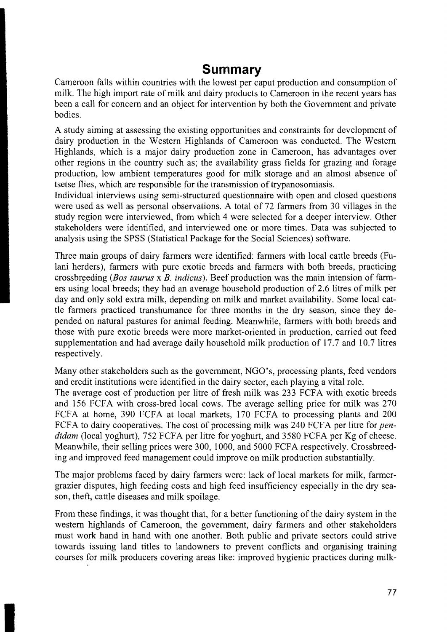#### **Summary**

Cameroon falls within countries with the lowest per caput production and consumption of milk. The high import rate of milk and dairy products to Cameroon in the recent years has been a call for concern and an object for intervention by both the Government and private bodies.

A study aiming at assessing the existing opportunities and constraints for development of dairy production in the Western Highlands of Cameroon was conducted. The Western Highlands, which is a major dairy production zone in Cameroon, has advantages over other regions in the country such as; the availability grass fields for grazing and forage production, low ambient temperatures good for milk storage and an almost absence of tsetse flies, which are responsible for the transmission of trypanosomiasis.

Individual interviews using semi-structured questionnaire with open and closed questions were used as well as personal observations. A total of 72 farmers from 30 villages in the study region were interviewed, from which 4 were selected for a deeper interview. Other stakeholders were identified, and interviewed one or more times. Data was subjected to analysis using the SPSS (Statistical Package for the Social Sciences) software.

Three main groups of dairy farmers were identified: farmers with local cattle breeds (Fulani herders), farmers with pure exotic breeds and farmers with both breeds, practicing crossbreeding *(Bos taurus x B. indicus)*. Beef production was the main intension of farmers using local breeds; they had an average household production of 2.6 litres of milk per day and only sold extra milk, depending on milk and market availability. Some Iocal cattle farmers practiced transhumance for three months in the dry season, since they depended on natural pastures for animal feeding. Meanwhile, farmers with both breeds and those with pure exotic breeds were more market-oriented in production, carried out feed supplementation and had average daily household milk production of 17.7 and 10.7 litres respectively.

Many other stakeholders such as the government, NGO's, processing plants, feed vendors and credit institutions were identified in the dairy sector, each playing a vital role.

The average cost of production per litre of fresh milk was 233 FCFA with exotic breeds and 156 FCFA with cross-bred local cows. The average selling price for milk was 270 FCFA at home, 390 FCFA at local markets, 170 FCFA to processing plants and 200 FCFA to dairy cooperatives. The cost of processing milk was 240 FCFA per litre for *pendidam* (Iocal yoghurt), 752 FCFA per litre for yoghurt, and 3580 FCFA per Kg of cheese. Meanwhile, their selling prices were 300, 1000, and 5000 FCFA respectively. Crossbreeding and improved feed management could improve on milk production substantially.

The major problems faced by dairy farmers were: lack of local markets for milk, farmergrazier disputes, high feeding costs and high feed insufficiency especially in the dry season, theft, cattle diseases and milk spoilage.

From these findings, it was thought that, for a better functioning of the dairy system in the western highlands of Cameroon, the govemment, dairy farmers and other stakeholders must work hand in hand with one another. Both public and private sectors could strive towards issuing land titles to landowners to prevent conflicts and organising training courses for milk producers covering areas like: improved hygienic practices during milk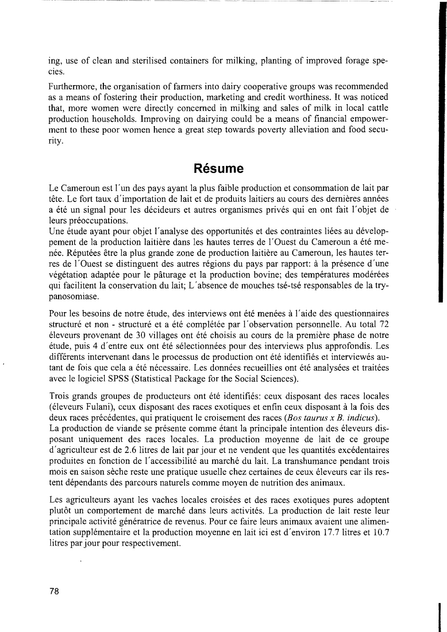ing, use of clean and sterilised containers for milking, planting of improved forage speeies.

Furthermore, the organisation of farmers into dairy cooperative groups was recommended as a means of fostering their production, marketing and credit worthiness. It was noticed that, more women were directly concemed in milking and sales of milk in local cattle production households. Improving on dairying could be a means of financial empowerment to these poor women hence a great step towards poverty alleviation and food security.

### **Resume**

Le Cameroun est I'un des pays ayant la plus faible production et consommation de lait par tête. Le fort taux d'importation de lait et de produits laitiers au cours des dernières années a été un signal pour les décideurs et autres organismes privés qui en ont fait l'objet de leurs préoccupations.

Une étude ayant pour objet l'analyse des opportunités et des contraintes liées au développement de la production laitière dans les hautes terres de l'Ouest du Cameroun a été menée. Réputées être la plus grande zone de production laitière au Cameroun, les hautes terres de l'Ouest se distinguent des autres régions du pays par rapport: à la présence d'une végétation adaptée pour le pâturage et la production bovine; des températures modérées qui facilitent la conservation du lait; L'absence de mouches tse-tse responsables de la trypanosomiase.

Pour les besoins de notre étude, des interviews ont été menées à l'aide des questionnaires structuré et non - structuré et a été complétée par l'observation personnelle. Au total 72 eleveurs provenant de 30 villages ont ete choisis au cours de la premiere phase de notre étude, puis 4 d'entre eux ont été sélectionnées pour des interviews plus approfondis. Les différents intervenant dans le processus de production ont été identifiés et interviewés autant de fois que cela a été nécessaire. Les données recueillies ont été analysées et traitées avec le logiciel SPSS (Statistical Package for the Social Sciences).

Trois grands groupes de producteurs ont été identifiés: ceux disposant des races locales (éleveurs Fulani), ceux disposant des races exotiques et enfin ceux disposant à la fois des deux races précédentes, qui pratiquent le croisement des races *(Bos taurus x B. indicus)*. La production de viande se présente comme étant la principale intention des éleveurs disposant uniquement des races locales. La production moyenne de lait de ce groupe d'agriculteur est de 2.6 litres de lait par jour et ne vendent que les quantités excédentaires produites en fonction de I' accessibilite au marche du lait. La transhumance pendant trois mois en saison seche reste une pratique usuelle chez certaines de ceux eleveurs car ils restent dépendants des parcours naturels comme moyen de nutrition des animaux.

Les agriculteurs ayant les vaches locales croisées et des races exotiques pures adoptent plutôt un comportement de marché dans leurs activités. La production de lait reste leur principale activité génératrice de revenus. Pour ce faire leurs animaux avaient une alimentation supplémentaire et la production moyenne en lait ici est d'environ 17.7 litres et 10.7 litres par jour pour respectivement.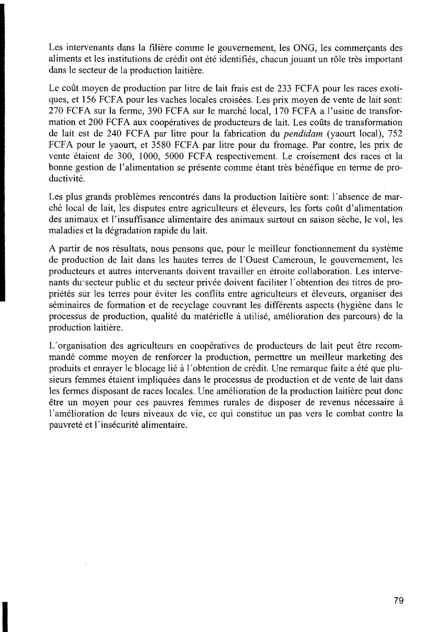Les intervenants dans la filière comme le gouvernement, les ONG, les commercants des aliments et les institutions de credit ont ete identifies, chacun jouant un röle tres important dans le secteur de la production laitière.

Le coût moyen de production par litre de lait frais est de 233 FCFA pour les races exotiques, et 156 FCFA pour les vaches locales croisées. Les prix moyen de vente de lait sont: 270 FCFA sur la ferme, 390 FCFA sur le marché local, 170 FCFA a l'usine de transformation et 200 FCFA aux coopératives de producteurs de lait. Les coûts de transformation de lait est de 240 FCFA par litre pour la fabrication du *pendidam* (yaourt local), 752 FCFA pour le yaourt, et 3580 FCFA par litre pour du fromage. Par contre, les prix de vente étaient de 300, 1000, 5000 FCFA respectivement. Le croisement des races et la bonne gestion de l'alimentation se présente comme étant très bénéfique en terme de productivité.

Les plus grands problèmes rencontrés dans la production laitière sont: l'absence de marehe local de lait, les disputes entre agriculteurs et eleveurs, les forts cout d'alimentation des animaux et l'insuffisance alimentaire des animaux surtout en saison sèche, le vol, les maladies et la degradation rapide du lait.

A partir de nos résultats, nous pensons que, pour le meilleur fonctionnement du système de production de lait dans les hautes terres de l'Ouest Cameroun, le gouvernement, les producteurs et autres intervenants doivent travailler en etroite collaboration. Les intervenants du secteur public et du secteur privée doivent faciliter l'obtention des titres de propriétés sur les terres pour éviter les conflits entre agriculteurs et éleveurs, organiser des séminaires de formation et de recyclage couvrant les différents aspects (hygiène dans le processus de production, qualite du materielle a utilise, amelioration des parcours) de la production laitière.

L'organisation des agriculteurs en coopératives de producteurs de lait peut être recommande comme moyen de renforcer la production, permettre un meilleur marketing des produits et enrayer le blocage lié à l'obtention de crédit. Une remarque faite a été que plusieurs femmes étaient impliquées dans le processus de production et de vente de lait dans les fermes disposant de races locales. Une amélioration de la production laitière peut donc être un moyen pour ces pauvres femmes rurales de disposer de revenus nécessaire à l'amelioration de leurs niveaux de vie, ce qui constitue un pas vers le combat contre la pauvreté et l'insécurité alimentaire.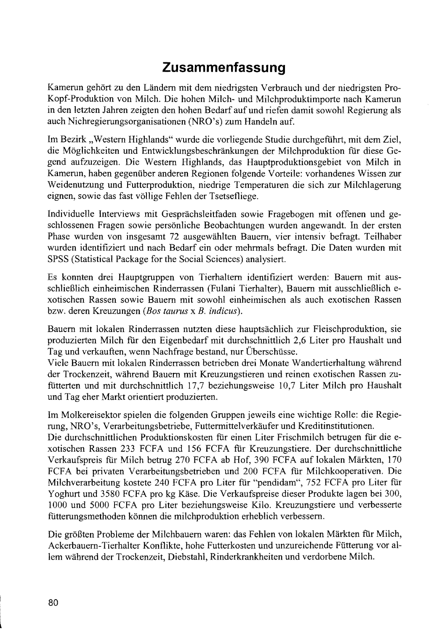## **Zusammenfassung**

Kamerun gehört zu den Ländern mit dem niedrigsten Verbrauch und der niedrigsten Pro-Kopf-Produktion von Milch. Die hohen Milch- und Milchproduktimporte nach Kamerun in den letzten Jahren zeigten den hohen Bedarf auf und riefen damit sowohl Regierung als auch Nichregierungsorganisationen (NRO' s) zum Handeln auf.

Im Bezirk "Western Highlands" wurde die vorliegende Studie durchgeführt, mit dem Ziel, die Möglichkeiten und Entwicklungsbeschränkungen der Milchproduktion für diese Gegend aufzuzeigen. Die Western Highlands, das Hauptproduktionsgebiet von Milch in Kamerun, haben gegenüber anderen Regionen folgende Vorteile: vorhandenes Wissen zur Weidenutzung und Futterproduktion, niedrige Temperaturen die sich zur Milchlagerung eignen, sowie das fast völlige Fehlen der Tsetsefliege.

Individuelle Interviews mit Gesprächsleitfaden sowie Fragebogen mit offenen und geschlossenen Fragen sowie persönliche Beobachtungen wurden angewandt. In der ersten Phase wurden von insgesamt 72 ausgewählten Bauern, vier intensiv befragt. Teilhaber wurden identifiziert und nach Bedarf ein oder mehrmals befragt. Die Daten wurden mit SPSS (Statistical Package for the Social Sciences) analysiert.

Es konnten drei Hauptgruppen von Tierhaltern identifiziert werden: Bauern mit ausschließlich einheimischen Rinderrassen (Fulani Tierhalter), Bauern mit ausschließlich exotischen Rassen sowie Bauern mit sowohl einheimischen als auch exotischen Rassen bzw. deren Kreuzungen *(Bos taurus* x *B. indicus).* 

Bauern mit lokalen Rinderrassen nutzten diese hauptsächlich zur Fleischproduktion, sie produzierten Milch für den Eigenbedarf mit durchschnittlich 2,6 Liter pro Haushalt und Tag und verkauften, wenn Nachfrage bestand, nur Überschüsse.

Viele Bauern mit lokalen Rinderrassen betrieben drei Monate Wandertierhaltung während der Trockenzeit, während Bauern mit Kreuzungstieren und reinen exotischen Rassen zufütterten und mit durchschnittlich 17,7 beziehungsweise 10,7 Liter Milch pro Haushalt und Tag eher Markt orientiert produzierten.

Im Molkereisektor spielen die folgenden Gruppen jeweils eine wichtige Rolle: die Regierung, NRO's, Verarbeitungsbetriebe, Futtermittelverkäufer und Kreditinstitutionen.

Die durchschnittlichen Produktionskosten fiir einen Liter Frischmilch betrugen für die exotischen Rassen 233 FCFA und 156 FCFA für Kreuzungstiere. Der durchschnittliche Verkaufspreis fiir Milch betrug 270 FCFA ab Hof, 390 FCFA auf lokalen Märkten, 170 FCFA bei privaten Verarbeitungsbetrieben und 200 FCFA für Milchkooperativen. Die Milchverarbeitung kostete 240 FCFA pro Liter für "pendidam", 752 FCFA pro Liter fiir Yoghurt und 3580 FCFA pro kg Käse. Die Verkaufspreise dieser Produkte lagen bei 300, 1000 und 5000 FCFA pro Liter beziehungsweise Kilo. Kreuzungstiere und verbesserte fiitterungsmethoden können die milchproduktion erheblich verbessern.

Die größten Probleme der Milchbauern waren: das Fehlen von lokalen Märkten fiir Milch, Ackerbauern-Tierhalter Konflikte, hohe Futterkosten und unzureichende Fütterung vor allem während der Trockenzeit, Diebstahl, Rinderkrankheiten und verdorbene Milch.